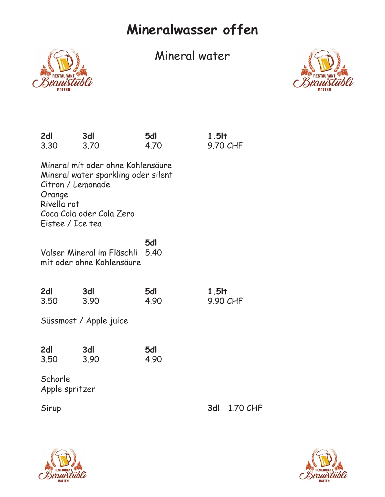## Mineralwasser offen



Mineral water



| 2dl<br>3.30                                                    | 3dl<br>3.70                                                                                          | 5dl<br>4.70 | $1.5$ lt<br>9.70 CHF |          |
|----------------------------------------------------------------|------------------------------------------------------------------------------------------------------|-------------|----------------------|----------|
| Citron / Lemonade<br>Orange<br>Rivella rot<br>Eistee / Ice tea | Mineral mit oder ohne Kohlensäure<br>Mineral water sparkling oder silent<br>Coca Cola oder Cola Zero |             |                      |          |
|                                                                | Valser Mineral im Fläschli<br>mit oder ohne Kohlensäure                                              | 5dl<br>5.40 |                      |          |
| 2dl<br>3.50                                                    | 3dl<br>3.90                                                                                          | 5dl<br>4.90 | $1.5$ lt<br>9.90 CHF |          |
|                                                                | Süssmost / Apple juice                                                                               |             |                      |          |
| 2dl<br>3.50                                                    | 3dl<br>3.90                                                                                          | 5dl<br>4.90 |                      |          |
| Schorle<br>Apple spritzer                                      |                                                                                                      |             |                      |          |
| Sirup                                                          |                                                                                                      |             | 3dl                  | 1.70 CHF |



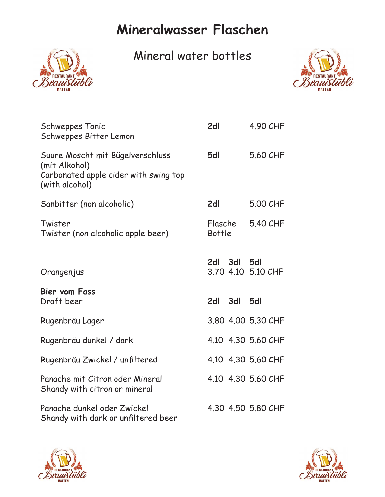## Mineralwasser Flaschen



Mineral water bottles



| <b>Schweppes Tonic</b><br>Schweppes Bitter Lemon                                                             | 2dl                              | 4.90 CHF |  |
|--------------------------------------------------------------------------------------------------------------|----------------------------------|----------|--|
| Suure Moscht mit Bügelverschluss<br>(mit Alkohol)<br>Carbonated apple cider with swing top<br>(with alcohol) | 5dl                              | 5.60 CHF |  |
| Sanbitter (non alcoholic)                                                                                    | 2dl                              | 5.00 CHF |  |
| Twister<br>Twister (non alcoholic apple beer)                                                                | Flasche<br>Bottle                | 5.40 CHF |  |
| Orangenjus                                                                                                   | 2dl<br>3dl<br>3.70 4.10 5.10 CHF | 5dl      |  |
| <b>Bier vom Fass</b><br>Draft beer                                                                           | 2dl<br>3dl 5dl                   |          |  |
| Rugenbräu Lager                                                                                              | 3.80 4.00 5.30 CHF               |          |  |
| Rugenbräu dunkel / dark                                                                                      | 4.10 4.30 5.60 CHF               |          |  |
| Rugenbräu Zwickel / unfiltered                                                                               | 4.10 4.30 5.60 CHF               |          |  |
| Panache mit Citron oder Mineral<br>Shandy with citron or mineral                                             | 4.10 4.30 5.60 CHF               |          |  |
| Panache dunkel oder Zwickel<br>Shandy with dark or unfiltered beer                                           | 4.30 4.50 5.80 CHF               |          |  |
|                                                                                                              |                                  |          |  |



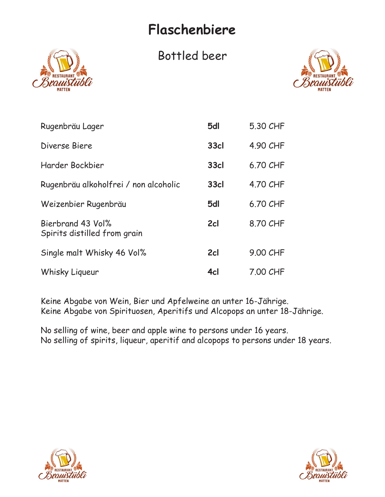## Flaschenbiere



Bottled beer



| Rugenbräu Lager                                   | 5dl         | 5.30 CHF |
|---------------------------------------------------|-------------|----------|
| Diverse Biere                                     | <b>33cl</b> | 4.90 CHF |
| Harder Bockbier                                   | <b>33cl</b> | 6.70 CHF |
| Rugenbräu alkoholfrei / non alcoholic             | <b>33cl</b> | 4.70 CHF |
| Weizenbier Rugenbräu                              | 5dl         | 6.70 CHF |
| Bierbrand 43 Vol%<br>Spirits distilled from grain | 2cl         | 8.70 CHF |
| Single malt Whisky 46 Vol%                        | 2cl         | 9.00 CHF |
| Whisky Liqueur                                    | 4cl         | 7.00 CHF |

Keine Abgabe von Wein, Bier und Apfelweine an unter 16-Jährige. Keine Abgabe von Spirituosen, Aperitifs und Alcopops an unter 18-Jährige.

No selling of wine, beer and apple wine to persons under 16 years. No selling of spirits, liqueur, aperitif and alcopops to persons under 18 years.



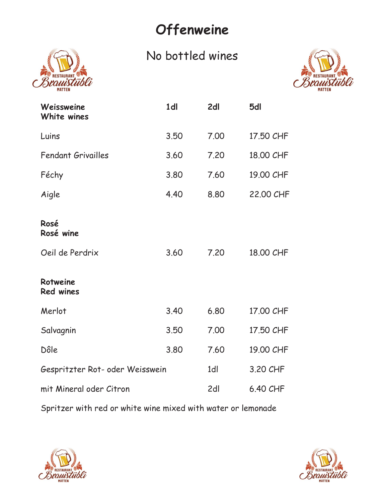## **Offenweine**



#### No bottled wines



| Weissweine<br>White wines       | 1 <sub>d</sub> | 2dl             | 5dl       |
|---------------------------------|----------------|-----------------|-----------|
| Luins                           | 3.50           | 7.00            | 17.50 CHF |
| Fendant Grivailles              | 3.60           | 7.20            | 18.00 CHF |
| Féchy                           | 3.80           | 7.60            | 19.00 CHF |
| Aigle                           | 4.40           | 8.80            | 22.00 CHF |
| Rosé<br>Rosé wine               |                |                 |           |
| Oeil de Perdrix                 | 3.60           | 7.20            | 18.00 CHF |
| Rotweine<br><b>Red wines</b>    |                |                 |           |
| Merlot                          | 3.40           | 6.80            | 17.00 CHF |
| Salvagnin                       | 3.50           | 7.00            | 17.50 CHF |
| Dôle                            | 3.80           | 7.60            | 19.00 CHF |
| Gespritzter Rot- oder Weisswein |                | 1 <sub>dl</sub> | 3.20 CHF  |
| mit Mineral oder Citron         |                | 2dl             | 6.40 CHF  |

Spritzer with red or white wine mixed with water or lemonade



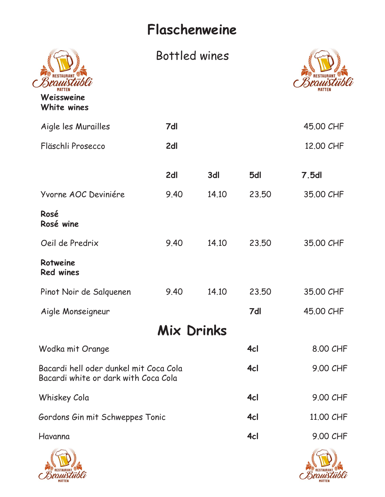#### Flaschenweine

|                                                                                | Flaschenweine |       |       |              |
|--------------------------------------------------------------------------------|---------------|-------|-------|--------------|
| Weissweine<br>White wines                                                      | Bottled wines |       |       |              |
| Aigle les Murailles                                                            | 7dl           |       |       | 45.00 CHF    |
| Fläschli Prosecco                                                              | 2dl           |       |       | 12.00 CHF    |
|                                                                                | 2dl           | 3dl   | 5dl   | <b>7.5dl</b> |
| Yvorne AOC Deviniére                                                           | 9.40          | 14.10 | 23.50 | 35.00 CHF    |
| Rosé<br>Rosé wine                                                              |               |       |       |              |
| Oeil de Predrix                                                                | 9.40          | 14.10 | 23.50 | 35.00 CHF    |
| Rotweine<br>Red wines                                                          |               |       |       |              |
| Pinot Noir de Salquenen                                                        | 9.40          | 14.10 | 23.50 | 35.00 CHF    |
| Aigle Monseigneur                                                              |               |       | 7dl   | 45.00 CHF    |
|                                                                                | Mix Drinks    |       |       |              |
| Wodka mit Orange                                                               |               |       | 4cl   | 8.00 CHF     |
| Bacardi hell oder dunkel mit Coca Cola<br>Bacardi white or dark with Coca Cola |               |       | 4cl   | 9.00 CHF     |
| Whiskey Cola                                                                   |               |       | 4cl   | 9.00 CHF     |
| Gordons Gin mit Schweppes Tonic                                                |               |       | 4cl   | 11.00 CHF    |
| Havanna                                                                        |               |       | 4cl   | 9.00 CHF     |
|                                                                                |               |       |       |              |



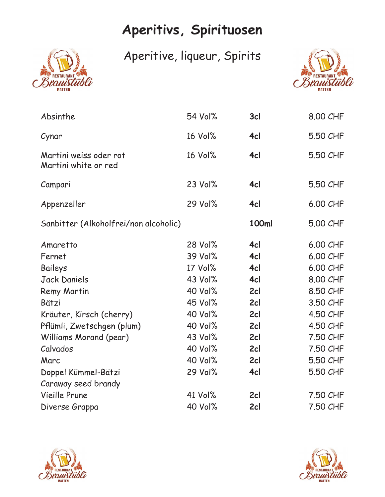# Aperitivs, Spirituosen



Aperitive, liqueur, Spirits



| 54 Vol% | 3cl   | 8.00 CHF |
|---------|-------|----------|
| 16 Vol% | 4cl   | 5.50 CHF |
| 16 Vol% | 4cl   | 5.50 CHF |
| 23 Vol% | 4cl   | 5.50 CHF |
| 29 Vol% | 4cl   | 6.00 CHF |
|         | 100ml | 5.00 CHF |
| 28 Vol% | 4cl   | 6.00 CHF |
| 39 Vol% | 4cl   | 6.00 CHF |
| 17 Vol% | 4cl   | 6.00 CHF |
| 43 Vol% | 4cl   | 8.00 CHF |
| 40 Vol% | 2cl   | 8.50 CHF |
| 45 Vol% | 2cl   | 3.50 CHF |
| 40 Vol% | 2cl   | 4.50 CHF |
| 40 Vol% | 2cl   | 4.50 CHF |
| 43 Vol% | 2cl   | 7.50 CHF |
| 40 Vol% | 2cl   | 7.50 CHF |
| 40 Vol% | 2cl   | 5.50 CHF |
| 29 Vol% | 4cl   | 5.50 CHF |
|         |       |          |
| 41 Vol% | 2cl   | 7.50 CHF |
| 40 Vol% | 2cl   | 7.50 CHF |
|         |       |          |